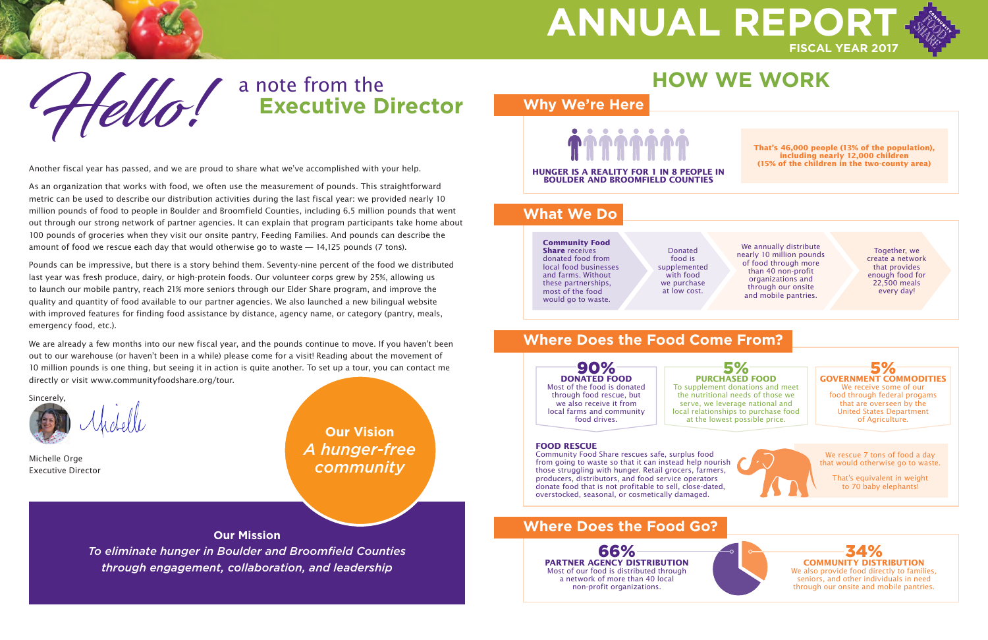# **HOW WE WORK**

Michelle Orge Executive Director

# **ANNUAL REPORT**



Another fiscal year has passed, and we are proud to share what we've accomplished with your help.

As an organization that works with food, we often use the measurement of pounds. This straightforward metric can be used to describe our distribution activities during the last fiscal year: we provided nearly 10 million pounds of food to people in Boulder and Broomfield Counties, including 6.5 million pounds that went out through our strong network of partner agencies. It can explain that program participants take home about 100 pounds of groceries when they visit our onsite pantry, Feeding Families. And pounds can describe the amount of food we rescue each day that would otherwise go to waste — 14,125 pounds (7 tons).

Pounds can be impressive, but there is a story behind them. Seventy-nine percent of the food we distributed last year was fresh produce, dairy, or high-protein foods. Our volunteer corps grew by 25%, allowing us to launch our mobile pantry, reach 21% more seniors through our Elder Share program, and improve the quality and quantity of food available to our partner agencies. We also launched a new bilingual website with improved features for finding food assistance by distance, agency name, or category (pantry, meals, emergency food, etc.).

We are already a few months into our new fiscal year, and the pounds continue to move. If you haven't been out to our warehouse (or haven't been in a while) please come for a visit! Reading about the movement of 10 million pounds is one thing, but seeing it in action is quite another. To set up a tour, you can contact me directly or visit www.communityfoodshare.org/tour.

> We rescue 7 tons of food a day that would otherwise go to waste.

Sincerely,

**HUNGER IS A REALITY FOR 1 IN 8 PEOPLE IN BOULDER AND BROOMFIELD COUNTIES**

**That's 46,000 people (13% of the population), including nearly 12,000 children (15% of the children in the two-county area)**

## a note from the **Executive Director**

**Why We're Here**

mononon

**Community Food Share** receives donated food from local food businesses and farms. Without these partnerships, most of the food would go to waste.

Donated food is supplemented with food we purchase at low cost.

We annually distribute nearly 10 million pounds of food through more than 40 non-profit organizations and through our onsite and mobile pantries.

Together, we create a network that provides enough food for 22,500 meals every day!

### **What We Do**

66% **PARTNER AGENCY DISTRIBUTION** Most of our food is distributed through a network of more than 40 local non-profit organizations.

34% **COMMUNITY DISTRIBUTION** We also provide food directly to families, seniors, and other individuals in need through our onsite and mobile pantries.

### **Where Does the Food Go?**

### **FOOD RESCUE**

Community Food Share rescues safe, surplus food from going to waste so that it can instead help nourish those struggling with hunger. Retail grocers, farmers, producers, distributors, and food service operators donate food that is not profitable to sell, close-dated, overstocked, seasonal, or cosmetically damaged.

That's equivalent in weight to 70 baby elephants!

### **Where Does the Food Come From?**

### 5% **GOVERNMENT COMMODITIES** We receive some of our food through federal progams that are overseen by the United States Department of Agriculture.

5% **PURCHASED FOOD** To supplement donations and meet the nutritional needs of those we serve, we leverage national and local relationships to purchase food at the lowest possible price.

90% **DONATED FOOD** Most of the food is donated through food rescue, but we also receive it from local farms and community food drives.

**Our Mission**

*To eliminate hunger in Boulder and Broomfield Counties through engagement, collaboration, and leadership*

**Our Vision** *A hunger-free community*